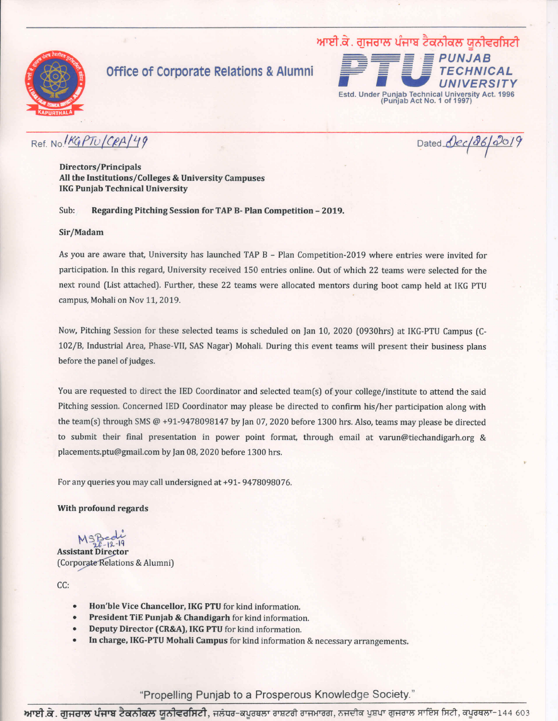

## **Office of Corporate Relations & Alumni**



## Ref. No. KGPTU/CRA/49

Dated Dec/86/2019

**Directors/Principals** All the Institutions/Colleges & University Campuses **IKG Punjab Technical University** 

Sub: Regarding Pitching Session for TAP B- Plan Competition - 2019.

## Sir/Madam

As you are aware that, University has launched TAP B - Plan Competition-2019 where entries were invited for participation. In this regard, University received 150 entries online. Out of which 22 teams were selected for the next round (List attached). Further, these 22 teams were allocated mentors during boot camp held at IKG PTU campus, Mohali on Nov 11, 2019.

Now, Pitching Session for these selected teams is scheduled on Jan 10, 2020 (0930hrs) at IKG-PTU Campus (C-102/B, Industrial Area, Phase-VII, SAS Nagar) Mohali. During this event teams will present their business plans before the panel of judges.

You are requested to direct the IED Coordinator and selected team(s) of your college/institute to attend the said Pitching session. Concerned IED Coordinator may please be directed to confirm his/her participation along with the team(s) through SMS  $@ + 91 - 9478098147$  by Jan 07, 2020 before 1300 hrs. Also, teams may please be directed to submit their final presentation in power point format, through email at varun@tiechandigarh.org & placements.ptu@gmail.com by Jan 08, 2020 before 1300 hrs.

For any queries you may call undersigned at +91-9478098076.

With profound regards

**Assistant Director** (Corporate Relations & Alumni)

CC:

- Hon'ble Vice Chancellor, IKG PTU for kind information.
- President TiE Punjab & Chandigarh for kind information.
- Deputy Director (CR&A), IKG PTU for kind information.
- In charge, IKG-PTU Mohali Campus for kind information & necessary arrangements.

"Propelling Punjab to a Prosperous Knowledge Society."

**ਆਈ.ਕੇ. ਗੁਜਰਾਲ ਪੰਜਾਬ ਟੈਕਨੀਕਲ ਯੂਨੀਵਰਸਿਟੀ,** ਜਲੰਧਰ-ਕਪੂਰਥਲਾ ਰਾਸ਼ਟਰੀ ਰਾਜਮਾਰਗ, ਨਜਦੀਕ ਪੁਸ਼ਪਾ ਗੁਜਰਾਲ ਸਾਇੰਸ ਸਿਟੀ, ਕਪੂਰਥਲਾ-144 603